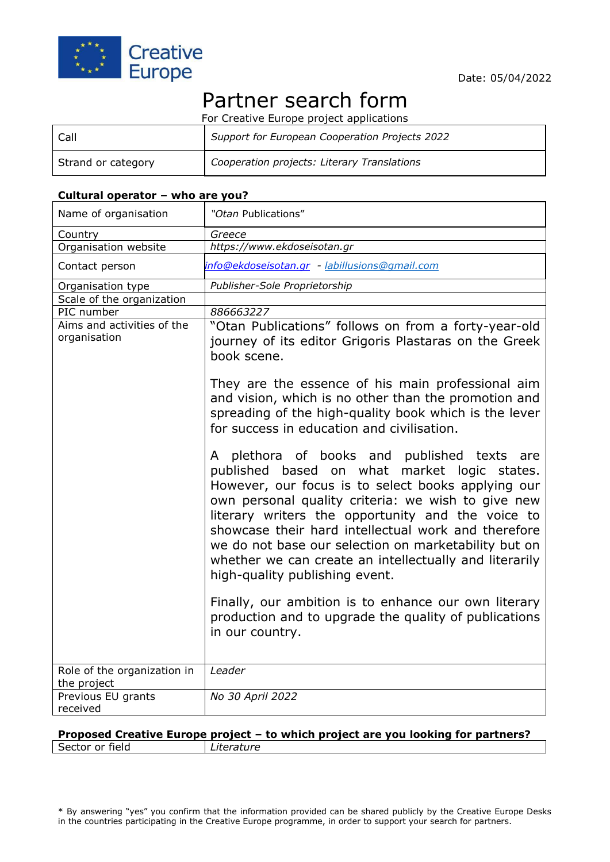

# Partner search form

For Creative Europe project applications

| Call               | Support for European Cooperation Projects 2022 |
|--------------------|------------------------------------------------|
| Strand or category | Cooperation projects: Literary Translations    |

#### **Cultural operator – who are you?**

| Name of organisation                       | "Otan Publications"                                                                                                                                                                                                                                                                                                                                                                                                                                                        |
|--------------------------------------------|----------------------------------------------------------------------------------------------------------------------------------------------------------------------------------------------------------------------------------------------------------------------------------------------------------------------------------------------------------------------------------------------------------------------------------------------------------------------------|
| Country                                    | Greece                                                                                                                                                                                                                                                                                                                                                                                                                                                                     |
| Organisation website                       | https://www.ekdoseisotan.gr                                                                                                                                                                                                                                                                                                                                                                                                                                                |
| Contact person                             | info@ekdoseisotan.gr - labillusions@gmail.com                                                                                                                                                                                                                                                                                                                                                                                                                              |
| Organisation type                          | Publisher-Sole Proprietorship                                                                                                                                                                                                                                                                                                                                                                                                                                              |
| Scale of the organization                  |                                                                                                                                                                                                                                                                                                                                                                                                                                                                            |
| PIC number                                 | 886663227                                                                                                                                                                                                                                                                                                                                                                                                                                                                  |
| Aims and activities of the<br>organisation | "Otan Publications" follows on from a forty-year-old<br>journey of its editor Grigoris Plastaras on the Greek<br>book scene.<br>They are the essence of his main professional aim<br>and vision, which is no other than the promotion and<br>spreading of the high-quality book which is the lever<br>for success in education and civilisation.                                                                                                                           |
|                                            | A plethora of books and published texts are<br>based on what market logic states.<br>published<br>However, our focus is to select books applying our<br>own personal quality criteria: we wish to give new<br>literary writers the opportunity and the voice to<br>showcase their hard intellectual work and therefore<br>we do not base our selection on marketability but on<br>whether we can create an intellectually and literarily<br>high-quality publishing event. |
|                                            | Finally, our ambition is to enhance our own literary<br>production and to upgrade the quality of publications<br>in our country.                                                                                                                                                                                                                                                                                                                                           |
| Role of the organization in<br>the project | Leader                                                                                                                                                                                                                                                                                                                                                                                                                                                                     |
| Previous EU grants<br>received             | No 30 April 2022                                                                                                                                                                                                                                                                                                                                                                                                                                                           |

### **Proposed Creative Europe project – to which project are you looking for partners?** Sector or field *Literature*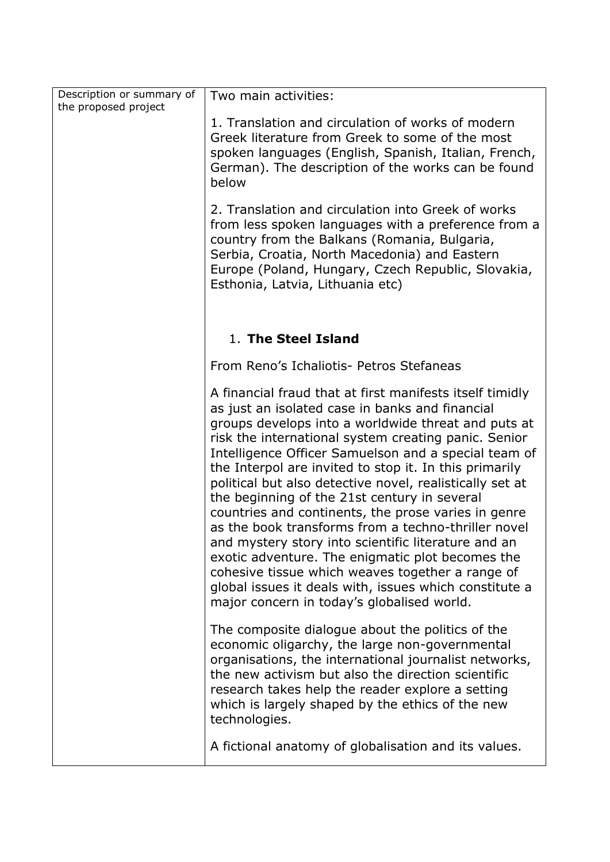| Description or summary of<br>the proposed project | Two main activities:                                                                                                                                                                                                                                                                                                                                                                                                                                                                                                                                                                                                                                                                                                                                                                                                                          |
|---------------------------------------------------|-----------------------------------------------------------------------------------------------------------------------------------------------------------------------------------------------------------------------------------------------------------------------------------------------------------------------------------------------------------------------------------------------------------------------------------------------------------------------------------------------------------------------------------------------------------------------------------------------------------------------------------------------------------------------------------------------------------------------------------------------------------------------------------------------------------------------------------------------|
|                                                   | 1. Translation and circulation of works of modern<br>Greek literature from Greek to some of the most<br>spoken languages (English, Spanish, Italian, French,<br>German). The description of the works can be found<br>below                                                                                                                                                                                                                                                                                                                                                                                                                                                                                                                                                                                                                   |
|                                                   | 2. Translation and circulation into Greek of works<br>from less spoken languages with a preference from a<br>country from the Balkans (Romania, Bulgaria,<br>Serbia, Croatia, North Macedonia) and Eastern<br>Europe (Poland, Hungary, Czech Republic, Slovakia,<br>Esthonia, Latvia, Lithuania etc)                                                                                                                                                                                                                                                                                                                                                                                                                                                                                                                                          |
|                                                   | 1. The Steel Island                                                                                                                                                                                                                                                                                                                                                                                                                                                                                                                                                                                                                                                                                                                                                                                                                           |
|                                                   | From Reno's Ichaliotis- Petros Stefaneas                                                                                                                                                                                                                                                                                                                                                                                                                                                                                                                                                                                                                                                                                                                                                                                                      |
|                                                   | A financial fraud that at first manifests itself timidly<br>as just an isolated case in banks and financial<br>groups develops into a worldwide threat and puts at<br>risk the international system creating panic. Senior<br>Intelligence Officer Samuelson and a special team of<br>the Interpol are invited to stop it. In this primarily<br>political but also detective novel, realistically set at<br>the beginning of the 21st century in several<br>countries and continents, the prose varies in genre<br>as the book transforms from a techno-thriller novel<br>and mystery story into scientific literature and an<br>exotic adventure. The enigmatic plot becomes the<br>cohesive tissue which weaves together a range of<br>global issues it deals with, issues which constitute a<br>major concern in today's globalised world. |
|                                                   | The composite dialogue about the politics of the<br>economic oligarchy, the large non-governmental<br>organisations, the international journalist networks,<br>the new activism but also the direction scientific<br>research takes help the reader explore a setting<br>which is largely shaped by the ethics of the new<br>technologies.                                                                                                                                                                                                                                                                                                                                                                                                                                                                                                    |
|                                                   | A fictional anatomy of globalisation and its values.                                                                                                                                                                                                                                                                                                                                                                                                                                                                                                                                                                                                                                                                                                                                                                                          |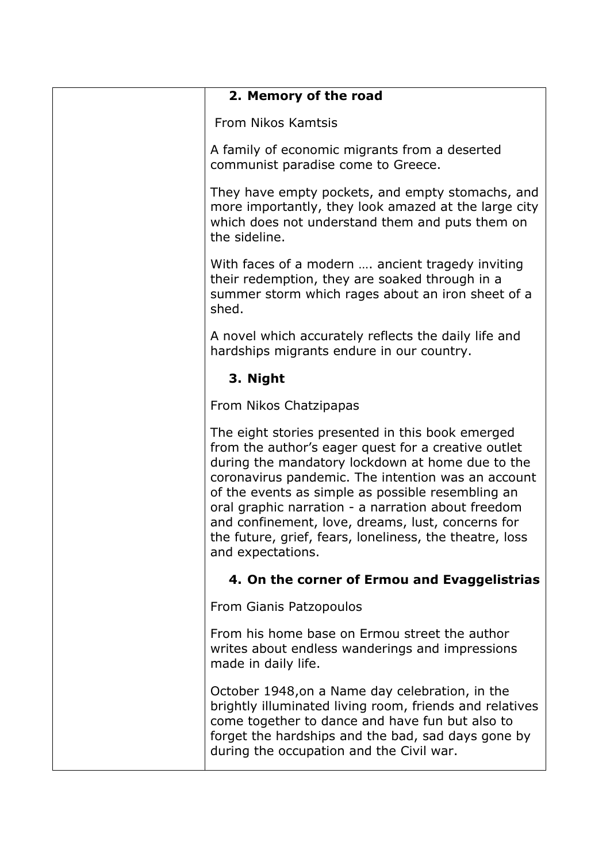| 2. Memory of the road                                                                                                                                                                                                                                                                                                                                                                                                                                             |
|-------------------------------------------------------------------------------------------------------------------------------------------------------------------------------------------------------------------------------------------------------------------------------------------------------------------------------------------------------------------------------------------------------------------------------------------------------------------|
| From Nikos Kamtsis                                                                                                                                                                                                                                                                                                                                                                                                                                                |
| A family of economic migrants from a deserted<br>communist paradise come to Greece.                                                                                                                                                                                                                                                                                                                                                                               |
| They have empty pockets, and empty stomachs, and<br>more importantly, they look amazed at the large city<br>which does not understand them and puts them on<br>the sideline.                                                                                                                                                                                                                                                                                      |
| With faces of a modern  ancient tragedy inviting<br>their redemption, they are soaked through in a<br>summer storm which rages about an iron sheet of a<br>shed.                                                                                                                                                                                                                                                                                                  |
| A novel which accurately reflects the daily life and<br>hardships migrants endure in our country.                                                                                                                                                                                                                                                                                                                                                                 |
| 3. Night                                                                                                                                                                                                                                                                                                                                                                                                                                                          |
| From Nikos Chatzipapas                                                                                                                                                                                                                                                                                                                                                                                                                                            |
| The eight stories presented in this book emerged<br>from the author's eager quest for a creative outlet<br>during the mandatory lockdown at home due to the<br>coronavirus pandemic. The intention was an account<br>of the events as simple as possible resembling an<br>oral graphic narration - a narration about freedom<br>and confinement, love, dreams, lust, concerns for<br>the future, grief, fears, loneliness, the theatre, loss<br>and expectations. |
| 4. On the corner of Ermou and Evaggelistrias                                                                                                                                                                                                                                                                                                                                                                                                                      |
| From Gianis Patzopoulos                                                                                                                                                                                                                                                                                                                                                                                                                                           |
| From his home base on Ermou street the author<br>writes about endless wanderings and impressions<br>made in daily life.                                                                                                                                                                                                                                                                                                                                           |
| October 1948, on a Name day celebration, in the<br>brightly illuminated living room, friends and relatives<br>come together to dance and have fun but also to<br>forget the hardships and the bad, sad days gone by<br>during the occupation and the Civil war.                                                                                                                                                                                                   |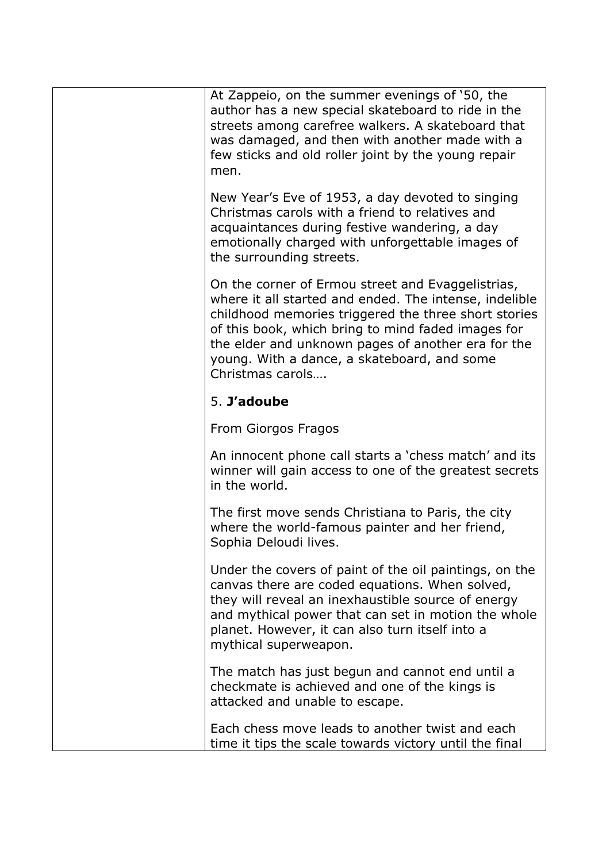| At Zappeio, on the summer evenings of '50, the<br>author has a new special skateboard to ride in the<br>streets among carefree walkers. A skateboard that<br>was damaged, and then with another made with a<br>few sticks and old roller joint by the young repair<br>men.                                                                         |
|----------------------------------------------------------------------------------------------------------------------------------------------------------------------------------------------------------------------------------------------------------------------------------------------------------------------------------------------------|
| New Year's Eve of 1953, a day devoted to singing<br>Christmas carols with a friend to relatives and<br>acquaintances during festive wandering, a day<br>emotionally charged with unforgettable images of<br>the surrounding streets.                                                                                                               |
| On the corner of Ermou street and Evaggelistrias,<br>where it all started and ended. The intense, indelible<br>childhood memories triggered the three short stories<br>of this book, which bring to mind faded images for<br>the elder and unknown pages of another era for the<br>young. With a dance, a skateboard, and some<br>Christmas carols |
| 5. J'adoube                                                                                                                                                                                                                                                                                                                                        |
| From Giorgos Fragos                                                                                                                                                                                                                                                                                                                                |
| An innocent phone call starts a 'chess match' and its<br>winner will gain access to one of the greatest secrets<br>in the world.                                                                                                                                                                                                                   |
| The first move sends Christiana to Paris, the city<br>where the world-famous painter and her friend,<br>Sophia Deloudi lives.                                                                                                                                                                                                                      |
| Under the covers of paint of the oil paintings, on the<br>canvas there are coded equations. When solved,<br>they will reveal an inexhaustible source of energy<br>and mythical power that can set in motion the whole<br>planet. However, it can also turn itself into a<br>mythical superweapon.                                                  |
| The match has just begun and cannot end until a<br>checkmate is achieved and one of the kings is<br>attacked and unable to escape.                                                                                                                                                                                                                 |
| Each chess move leads to another twist and each<br>time it tips the scale towards victory until the final                                                                                                                                                                                                                                          |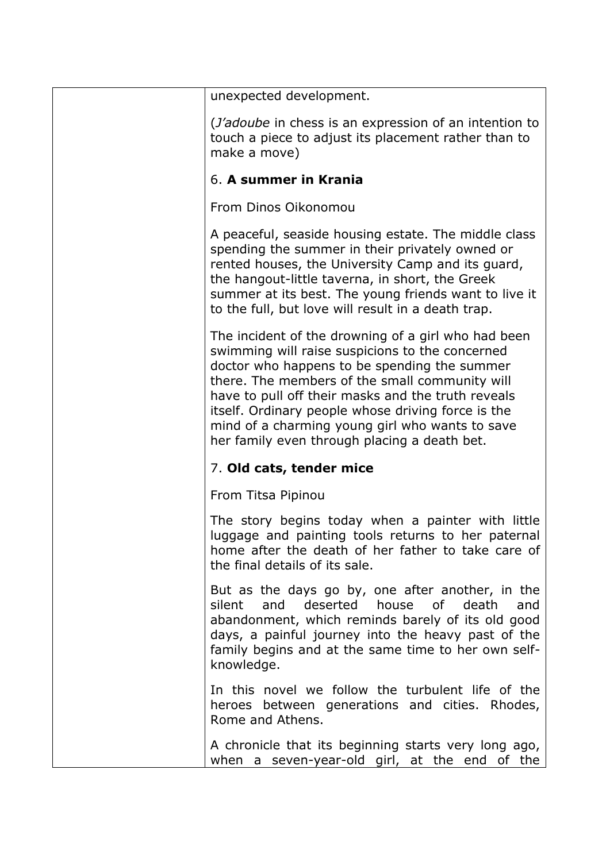| unexpected development.                                                                                                                                                                                                                                                                                                                                                                                                 |
|-------------------------------------------------------------------------------------------------------------------------------------------------------------------------------------------------------------------------------------------------------------------------------------------------------------------------------------------------------------------------------------------------------------------------|
| ( <i>J'adoube</i> in chess is an expression of an intention to<br>touch a piece to adjust its placement rather than to<br>make a move)                                                                                                                                                                                                                                                                                  |
| 6. A summer in Krania                                                                                                                                                                                                                                                                                                                                                                                                   |
| From Dinos Oikonomou                                                                                                                                                                                                                                                                                                                                                                                                    |
| A peaceful, seaside housing estate. The middle class<br>spending the summer in their privately owned or<br>rented houses, the University Camp and its guard,<br>the hangout-little taverna, in short, the Greek<br>summer at its best. The young friends want to live it<br>to the full, but love will result in a death trap.                                                                                          |
| The incident of the drowning of a girl who had been<br>swimming will raise suspicions to the concerned<br>doctor who happens to be spending the summer<br>there. The members of the small community will<br>have to pull off their masks and the truth reveals<br>itself. Ordinary people whose driving force is the<br>mind of a charming young girl who wants to save<br>her family even through placing a death bet. |
| 7. Old cats, tender mice                                                                                                                                                                                                                                                                                                                                                                                                |
| From Titsa Pipinou                                                                                                                                                                                                                                                                                                                                                                                                      |
| The story begins today when a painter with little<br>luggage and painting tools returns to her paternal<br>home after the death of her father to take care of<br>the final details of its sale.                                                                                                                                                                                                                         |
| But as the days go by, one after another, in the<br>and<br>deserted<br>house of<br>death<br>silent<br>and<br>abandonment, which reminds barely of its old good<br>days, a painful journey into the heavy past of the<br>family begins and at the same time to her own self-<br>knowledge.                                                                                                                               |
| In this novel we follow the turbulent life of the<br>heroes between generations and cities. Rhodes,<br>Rome and Athens.                                                                                                                                                                                                                                                                                                 |
| A chronicle that its beginning starts very long ago,<br>when a seven-year-old girl, at the end of the                                                                                                                                                                                                                                                                                                                   |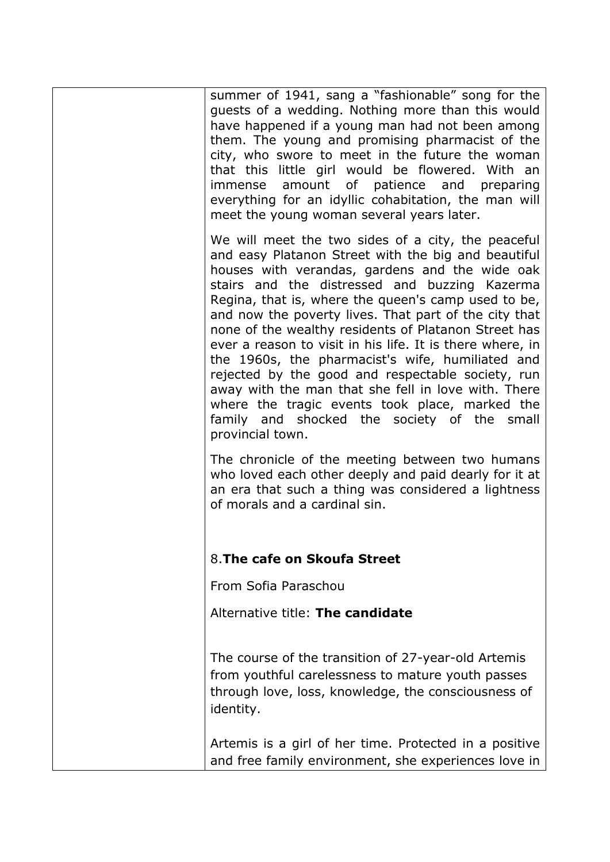| summer of 1941, sang a "fashionable" song for the<br>guests of a wedding. Nothing more than this would<br>have happened if a young man had not been among<br>them. The young and promising pharmacist of the<br>city, who swore to meet in the future the woman<br>that this little girl would be flowered. With an<br>immense amount of patience and preparing<br>everything for an idyllic cohabitation, the man will<br>meet the young woman several years later.                                                                                                                                                                                                                                                                   |
|----------------------------------------------------------------------------------------------------------------------------------------------------------------------------------------------------------------------------------------------------------------------------------------------------------------------------------------------------------------------------------------------------------------------------------------------------------------------------------------------------------------------------------------------------------------------------------------------------------------------------------------------------------------------------------------------------------------------------------------|
| We will meet the two sides of a city, the peaceful<br>and easy Platanon Street with the big and beautiful<br>houses with verandas, gardens and the wide oak<br>stairs and the distressed and buzzing Kazerma<br>Regina, that is, where the queen's camp used to be,<br>and now the poverty lives. That part of the city that<br>none of the wealthy residents of Platanon Street has<br>ever a reason to visit in his life. It is there where, in<br>the 1960s, the pharmacist's wife, humiliated and<br>rejected by the good and respectable society, run<br>away with the man that she fell in love with. There<br>where the tragic events took place, marked the<br>family and shocked the society of the small<br>provincial town. |
| The chronicle of the meeting between two humans<br>who loved each other deeply and paid dearly for it at<br>an era that such a thing was considered a lightness<br>of morals and a cardinal sin.                                                                                                                                                                                                                                                                                                                                                                                                                                                                                                                                       |
| 8. The cafe on Skoufa Street                                                                                                                                                                                                                                                                                                                                                                                                                                                                                                                                                                                                                                                                                                           |
| From Sofia Paraschou                                                                                                                                                                                                                                                                                                                                                                                                                                                                                                                                                                                                                                                                                                                   |
| Alternative title: The candidate                                                                                                                                                                                                                                                                                                                                                                                                                                                                                                                                                                                                                                                                                                       |
| The course of the transition of 27-year-old Artemis<br>from youthful carelessness to mature youth passes<br>through love, loss, knowledge, the consciousness of<br>identity.                                                                                                                                                                                                                                                                                                                                                                                                                                                                                                                                                           |
| Artemis is a girl of her time. Protected in a positive<br>and free family environment, she experiences love in                                                                                                                                                                                                                                                                                                                                                                                                                                                                                                                                                                                                                         |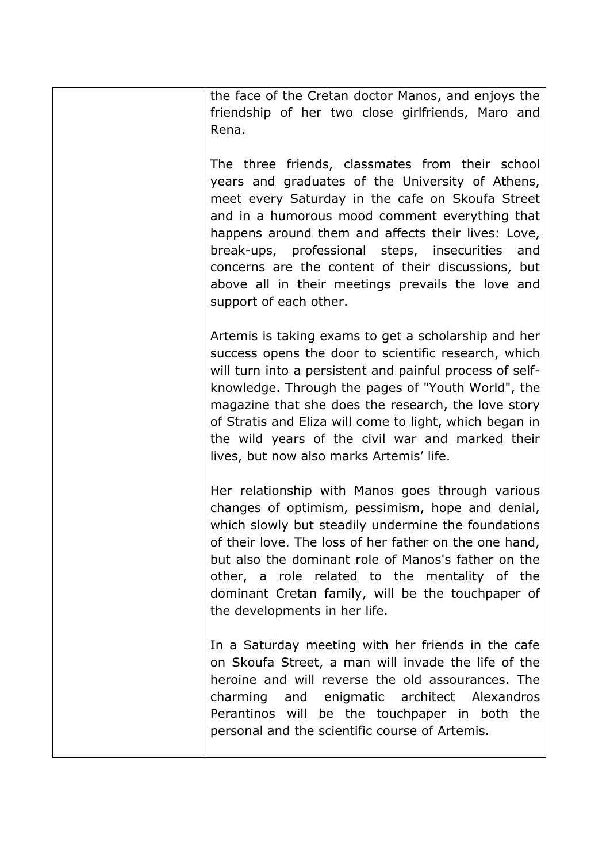the face of the Cretan doctor Manos, and enjoys the friendship of her two close girlfriends, Maro and Rena.

The three friends, classmates from their school years and graduates of the University of Athens, meet every Saturday in the cafe on Skoufa Street and in a humorous mood comment everything that happens around them and affects their lives: Love, break-ups, professional steps, insecurities and concerns are the content of their discussions, but above all in their meetings prevails the love and support of each other.

Artemis is taking exams to get a scholarship and her success opens the door to scientific research, which will turn into a persistent and painful process of selfknowledge. Through the pages of "Youth World", the magazine that she does the research, the love story of Stratis and Eliza will come to light, which began in the wild years of the civil war and marked their lives, but now also marks Artemis' life.

Her relationship with Manos goes through various changes of optimism, pessimism, hope and denial, which slowly but steadily undermine the foundations of their love. The loss of her father on the one hand, but also the dominant role of Manos's father on the other, a role related to the mentality of the dominant Cretan family, will be the touchpaper of the developments in her life.

In a Saturday meeting with her friends in the cafe on Skoufa Street, a man will invade the life of the heroine and will reverse the old assourances. The charming and enigmatic architect Alexandros Perantinos will be the touchpaper in both the personal and the scientific course of Artemis.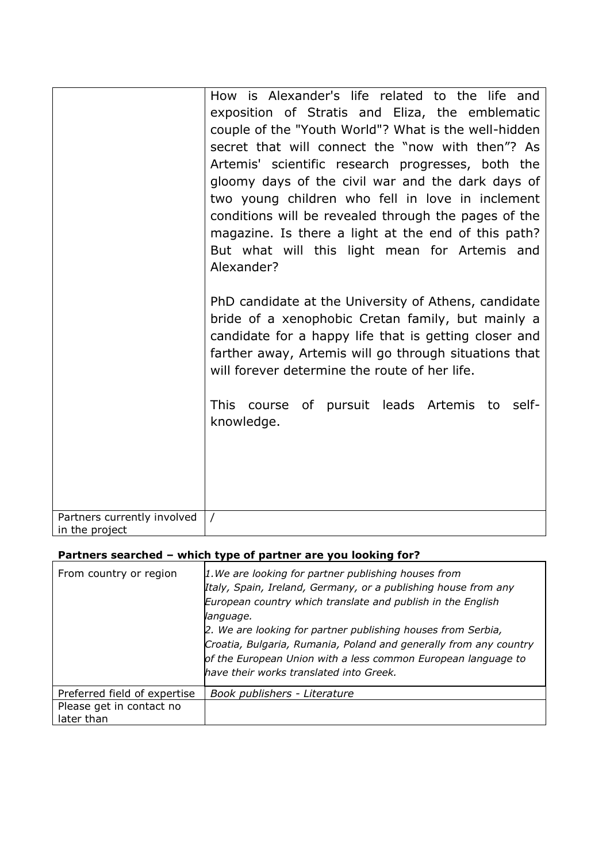|                                               | How is Alexander's life related to the life and<br>exposition of Stratis and Eliza, the emblematic<br>couple of the "Youth World"? What is the well-hidden<br>secret that will connect the "now with then"? As                                                                                                             |
|-----------------------------------------------|----------------------------------------------------------------------------------------------------------------------------------------------------------------------------------------------------------------------------------------------------------------------------------------------------------------------------|
|                                               | Artemis' scientific research progresses, both the<br>gloomy days of the civil war and the dark days of<br>two young children who fell in love in inclement<br>conditions will be revealed through the pages of the<br>magazine. Is there a light at the end of this path?<br>But what will this light mean for Artemis and |
|                                               | Alexander?<br>PhD candidate at the University of Athens, candidate<br>bride of a xenophobic Cretan family, but mainly a<br>candidate for a happy life that is getting closer and                                                                                                                                           |
|                                               | farther away, Artemis will go through situations that<br>will forever determine the route of her life.                                                                                                                                                                                                                     |
|                                               | This course of pursuit leads Artemis to self-<br>knowledge.                                                                                                                                                                                                                                                                |
|                                               |                                                                                                                                                                                                                                                                                                                            |
| Partners currently involved<br>in the project | $\prime$                                                                                                                                                                                                                                                                                                                   |

# **Partners searched – which type of partner are you looking for?**

| From country or region                 | 1. We are looking for partner publishing houses from<br>Italy, Spain, Ireland, Germany, or a publishing house from any<br>European country which translate and publish in the English<br>language.<br>2. We are looking for partner publishing houses from Serbia,<br>Croatia, Bulgaria, Rumania, Poland and generally from any country<br>of the European Union with a less common European language to<br>have their works translated into Greek. |
|----------------------------------------|-----------------------------------------------------------------------------------------------------------------------------------------------------------------------------------------------------------------------------------------------------------------------------------------------------------------------------------------------------------------------------------------------------------------------------------------------------|
| Preferred field of expertise           | Book publishers - Literature                                                                                                                                                                                                                                                                                                                                                                                                                        |
| Please get in contact no<br>later than |                                                                                                                                                                                                                                                                                                                                                                                                                                                     |